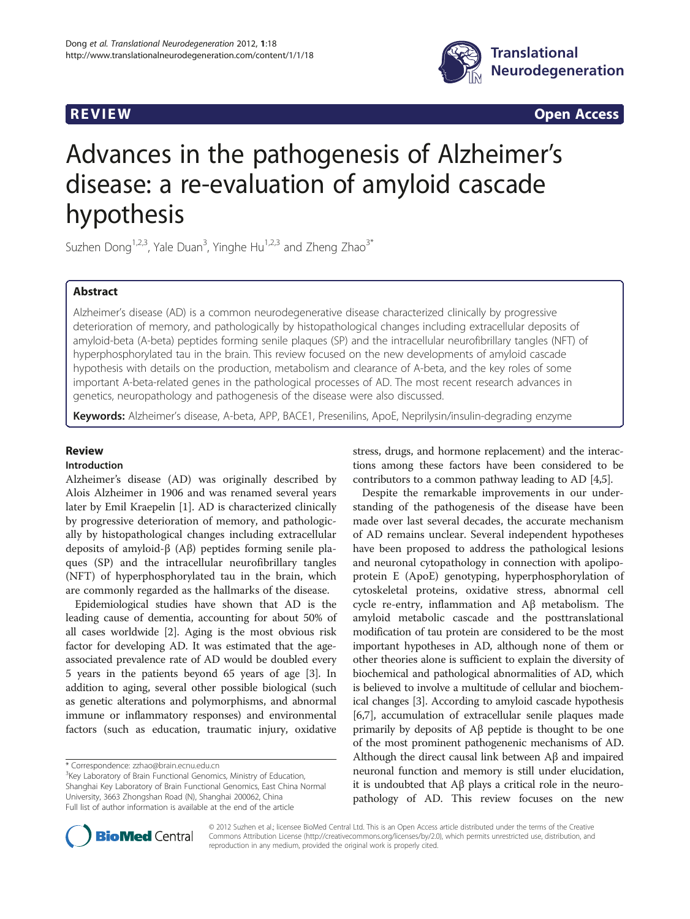

**REVIEW REVIEW CONSTRUCTER ACCESS** 

# Advances in the pathogenesis of Alzheimer's disease: a re-evaluation of amyloid cascade hypothesis

Suzhen Dong<sup>1,2,3</sup>, Yale Duan<sup>3</sup>, Yinghe Hu<sup>1,2,3</sup> and Zheng Zhao<sup>3\*</sup>

# Abstract

Alzheimer's disease (AD) is a common neurodegenerative disease characterized clinically by progressive deterioration of memory, and pathologically by histopathological changes including extracellular deposits of amyloid-beta (A-beta) peptides forming senile plaques (SP) and the intracellular neurofibrillary tangles (NFT) of hyperphosphorylated tau in the brain. This review focused on the new developments of amyloid cascade hypothesis with details on the production, metabolism and clearance of A-beta, and the key roles of some important A-beta-related genes in the pathological processes of AD. The most recent research advances in genetics, neuropathology and pathogenesis of the disease were also discussed.

Keywords: Alzheimer's disease, A-beta, APP, BACE1, Presenilins, ApoE, Neprilysin/insulin-degrading enzyme

# Review

#### Introduction

Alzheimer's disease (AD) was originally described by Alois Alzheimer in 1906 and was renamed several years later by Emil Kraepelin [[1\]](#page-7-0). AD is characterized clinically by progressive deterioration of memory, and pathologically by histopathological changes including extracellular deposits of amyloid-β (Aβ) peptides forming senile plaques (SP) and the intracellular neurofibrillary tangles (NFT) of hyperphosphorylated tau in the brain, which are commonly regarded as the hallmarks of the disease.

Epidemiological studies have shown that AD is the leading cause of dementia, accounting for about 50% of all cases worldwide [[2\]](#page-7-0). Aging is the most obvious risk factor for developing AD. It was estimated that the ageassociated prevalence rate of AD would be doubled every 5 years in the patients beyond 65 years of age [\[3\]](#page-7-0). In addition to aging, several other possible biological (such as genetic alterations and polymorphisms, and abnormal immune or inflammatory responses) and environmental factors (such as education, traumatic injury, oxidative

\* Correspondence: [zzhao@brain.ecnu.edu.cn](mailto:zzhao@brain.ecnu.edu.cn) <sup>3</sup>

<sup>3</sup>Key Laboratory of Brain Functional Genomics, Ministry of Education, Shanghai Key Laboratory of Brain Functional Genomics, East China Normal University, 3663 Zhongshan Road (N), Shanghai 200062, China Full list of author information is available at the end of the article

stress, drugs, and hormone replacement) and the interactions among these factors have been considered to be contributors to a common pathway leading to AD [[4,5](#page-7-0)].

Despite the remarkable improvements in our understanding of the pathogenesis of the disease have been made over last several decades, the accurate mechanism of AD remains unclear. Several independent hypotheses have been proposed to address the pathological lesions and neuronal cytopathology in connection with apolipoprotein E (ApoE) genotyping, hyperphosphorylation of cytoskeletal proteins, oxidative stress, abnormal cell cycle re-entry, inflammation and Aβ metabolism. The amyloid metabolic cascade and the posttranslational modification of tau protein are considered to be the most important hypotheses in AD, although none of them or other theories alone is sufficient to explain the diversity of biochemical and pathological abnormalities of AD, which is believed to involve a multitude of cellular and biochemical changes [\[3](#page-7-0)]. According to amyloid cascade hypothesis [[6,7](#page-7-0)], accumulation of extracellular senile plaques made primarily by deposits of Aβ peptide is thought to be one of the most prominent pathogenenic mechanisms of AD. Although the direct causal link between Aβ and impaired neuronal function and memory is still under elucidation, it is undoubted that Aβ plays a critical role in the neuropathology of AD. This review focuses on the new



© 2012 Suzhen et al.; licensee BioMed Central Ltd. This is an Open Access article distributed under the terms of the Creative Commons Attribution License [\(http://creativecommons.org/licenses/by/2.0\)](http://creativecommons.org/licenses/by/2.0), which permits unrestricted use, distribution, and reproduction in any medium, provided the original work is properly cited.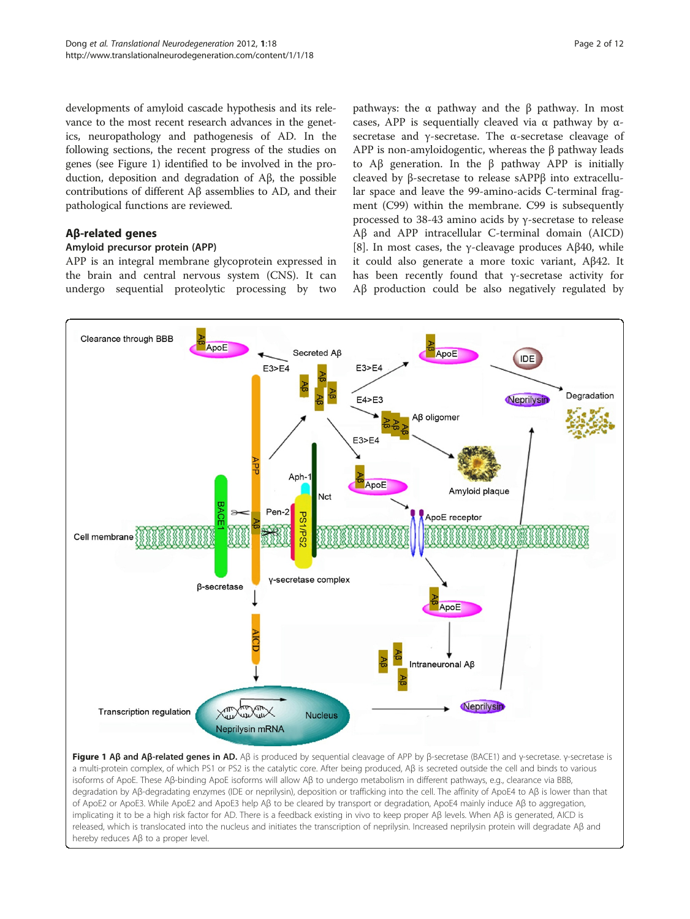developments of amyloid cascade hypothesis and its relevance to the most recent research advances in the genetics, neuropathology and pathogenesis of AD. In the following sections, the recent progress of the studies on genes (see Figure 1) identified to be involved in the production, deposition and degradation of Aβ, the possible contributions of different Aβ assemblies to AD, and their pathological functions are reviewed.

# Aβ-related genes

### Amyloid precursor protein (APP)

APP is an integral membrane glycoprotein expressed in the brain and central nervous system (CNS). It can undergo sequential proteolytic processing by two

pathways: the α pathway and the β pathway. In most cases, APP is sequentially cleaved via  $\alpha$  pathway by  $\alpha$ secretase and γ-secretase. The α-secretase cleavage of APP is non-amyloidogentic, whereas the β pathway leads to Aβ generation. In the β pathway APP is initially cleaved by β-secretase to release sAPPβ into extracellular space and leave the 99-amino-acids C-terminal fragment (C99) within the membrane. C99 is subsequently processed to 38-43 amino acids by γ-secretase to release Aβ and APP intracellular C-terminal domain (AICD) [[8\]](#page-7-0). In most cases, the γ-cleavage produces  $A\beta40$ , while it could also generate a more toxic variant, Aβ42. It has been recently found that γ-secretase activity for Aβ production could be also negatively regulated by



Figure 1 Aβ and Aβ-related genes in AD. Aβ is produced by sequential cleavage of APP by β-secretase (BACE1) and γ-secretase. γ-secretase is a multi-protein complex, of which PS1 or PS2 is the catalytic core. After being produced, Aβ is secreted outside the cell and binds to various isoforms of ApoE. These Aβ-binding ApoE isoforms will allow Aβ to undergo metabolism in different pathways, e.g., clearance via BBB, degradation by Aβ-degradating enzymes (IDE or neprilysin), deposition or trafficking into the cell. The affinity of ApoE4 to Aβ is lower than that of ApoE2 or ApoE3. While ApoE2 and ApoE3 help Aβ to be cleared by transport or degradation, ApoE4 mainly induce Aβ to aggregation, implicating it to be a high risk factor for AD. There is a feedback existing in vivo to keep proper Aβ levels. When Aβ is generated, AICD is released, which is translocated into the nucleus and initiates the transcription of neprilysin. Increased neprilysin protein will degradate Aβ and hereby reduces Aβ to a proper level.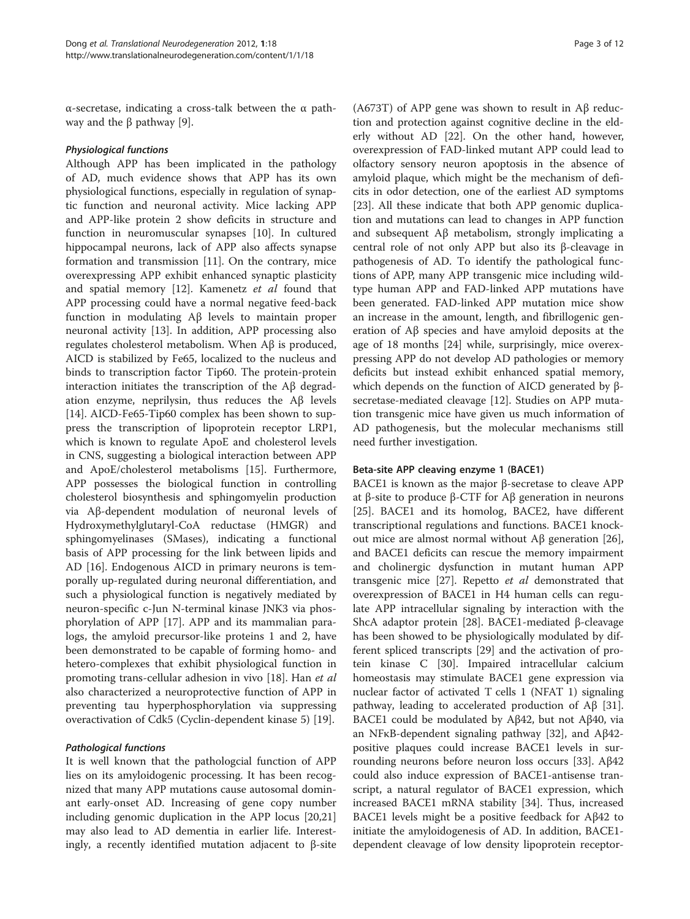α-secretase, indicating a cross-talk between the α pathway and the  $β$  pathway [[9\]](#page-7-0).

#### Physiological functions

Although APP has been implicated in the pathology of AD, much evidence shows that APP has its own physiological functions, especially in regulation of synaptic function and neuronal activity. Mice lacking APP and APP-like protein 2 show deficits in structure and function in neuromuscular synapses [\[10](#page-7-0)]. In cultured hippocampal neurons, lack of APP also affects synapse formation and transmission [\[11](#page-7-0)]. On the contrary, mice overexpressing APP exhibit enhanced synaptic plasticity and spatial memory [[12](#page-7-0)]. Kamenetz et al found that APP processing could have a normal negative feed-back function in modulating Aβ levels to maintain proper neuronal activity [[13](#page-7-0)]. In addition, APP processing also regulates cholesterol metabolism. When Aβ is produced, AICD is stabilized by Fe65, localized to the nucleus and binds to transcription factor Tip60. The protein-protein interaction initiates the transcription of the Aβ degradation enzyme, neprilysin, thus reduces the Aβ levels [[14\]](#page-7-0). AICD-Fe65-Tip60 complex has been shown to suppress the transcription of lipoprotein receptor LRP1, which is known to regulate ApoE and cholesterol levels in CNS, suggesting a biological interaction between APP and ApoE/cholesterol metabolisms [\[15\]](#page-7-0). Furthermore, APP possesses the biological function in controlling cholesterol biosynthesis and sphingomyelin production via Aβ-dependent modulation of neuronal levels of Hydroxymethylglutaryl-CoA reductase (HMGR) and sphingomyelinases (SMases), indicating a functional basis of APP processing for the link between lipids and AD [[16](#page-7-0)]. Endogenous AICD in primary neurons is temporally up-regulated during neuronal differentiation, and such a physiological function is negatively mediated by neuron-specific c-Jun N-terminal kinase JNK3 via phosphorylation of APP [\[17](#page-7-0)]. APP and its mammalian paralogs, the amyloid precursor-like proteins 1 and 2, have been demonstrated to be capable of forming homo- and hetero-complexes that exhibit physiological function in promoting trans-cellular adhesion in vivo [\[18](#page-8-0)]. Han et al also characterized a neuroprotective function of APP in preventing tau hyperphosphorylation via suppressing overactivation of Cdk5 (Cyclin-dependent kinase 5) [[19\]](#page-8-0).

## Pathological functions

It is well known that the pathologcial function of APP lies on its amyloidogenic processing. It has been recognized that many APP mutations cause autosomal dominant early-onset AD. Increasing of gene copy number including genomic duplication in the APP locus [[20](#page-8-0),[21](#page-8-0)] may also lead to AD dementia in earlier life. Interestingly, a recently identified mutation adjacent to β-site

(A673T) of APP gene was shown to result in Aβ reduction and protection against cognitive decline in the elderly without AD [[22\]](#page-8-0). On the other hand, however, overexpression of FAD-linked mutant APP could lead to olfactory sensory neuron apoptosis in the absence of amyloid plaque, which might be the mechanism of deficits in odor detection, one of the earliest AD symptoms [[23\]](#page-8-0). All these indicate that both APP genomic duplication and mutations can lead to changes in APP function and subsequent Aβ metabolism, strongly implicating a central role of not only APP but also its β-cleavage in pathogenesis of AD. To identify the pathological functions of APP, many APP transgenic mice including wildtype human APP and FAD-linked APP mutations have been generated. FAD-linked APP mutation mice show an increase in the amount, length, and fibrillogenic generation of Aβ species and have amyloid deposits at the age of 18 months [\[24\]](#page-8-0) while, surprisingly, mice overexpressing APP do not develop AD pathologies or memory deficits but instead exhibit enhanced spatial memory, which depends on the function of AICD generated by βsecretase-mediated cleavage [\[12](#page-7-0)]. Studies on APP mutation transgenic mice have given us much information of AD pathogenesis, but the molecular mechanisms still need further investigation.

### Beta-site APP cleaving enzyme 1 (BACE1)

BACE1 is known as the major β-secretase to cleave APP at β-site to produce β-CTF for Aβ generation in neurons [[25\]](#page-8-0). BACE1 and its homolog, BACE2, have different transcriptional regulations and functions. BACE1 knockout mice are almost normal without  $\text{A}\beta$  generation [\[26](#page-8-0)], and BACE1 deficits can rescue the memory impairment and cholinergic dysfunction in mutant human APP transgenic mice [\[27](#page-8-0)]. Repetto et al demonstrated that overexpression of BACE1 in H4 human cells can regulate APP intracellular signaling by interaction with the ShcA adaptor protein [\[28](#page-8-0)]. BACE1-mediated β-cleavage has been showed to be physiologically modulated by different spliced transcripts [\[29](#page-8-0)] and the activation of protein kinase C [[30](#page-8-0)]. Impaired intracellular calcium homeostasis may stimulate BACE1 gene expression via nuclear factor of activated T cells 1 (NFAT 1) signaling pathway, leading to accelerated production of Aβ [\[31](#page-8-0)]. BACE1 could be modulated by Aβ42, but not Aβ40, via an NFκB-dependent signaling pathway [\[32](#page-8-0)], and Aβ42 positive plaques could increase BACE1 levels in surrounding neurons before neuron loss occurs [[33\]](#page-8-0). Aβ42 could also induce expression of BACE1-antisense transcript, a natural regulator of BACE1 expression, which increased BACE1 mRNA stability [\[34](#page-8-0)]. Thus, increased BACE1 levels might be a positive feedback for Aβ42 to initiate the amyloidogenesis of AD. In addition, BACE1 dependent cleavage of low density lipoprotein receptor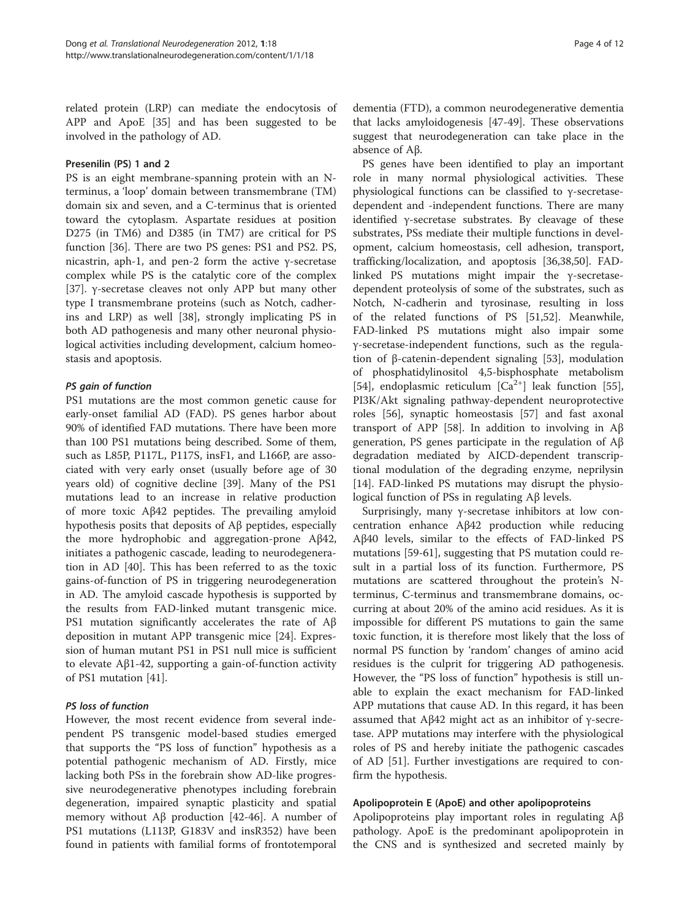related protein (LRP) can mediate the endocytosis of APP and ApoE [[35](#page-8-0)] and has been suggested to be involved in the pathology of AD.

#### Presenilin (PS) 1 and 2

PS is an eight membrane-spanning protein with an Nterminus, a 'loop' domain between transmembrane (TM) domain six and seven, and a C-terminus that is oriented toward the cytoplasm. Aspartate residues at position D275 (in TM6) and D385 (in TM7) are critical for PS function [\[36](#page-8-0)]. There are two PS genes: PS1 and PS2. PS, nicastrin, aph-1, and pen-2 form the active γ-secretase complex while PS is the catalytic core of the complex [[37\]](#page-8-0). γ-secretase cleaves not only APP but many other type I transmembrane proteins (such as Notch, cadherins and LRP) as well [[38](#page-8-0)], strongly implicating PS in both AD pathogenesis and many other neuronal physiological activities including development, calcium homeostasis and apoptosis.

### PS gain of function

PS1 mutations are the most common genetic cause for early-onset familial AD (FAD). PS genes harbor about 90% of identified FAD mutations. There have been more than 100 PS1 mutations being described. Some of them, such as L85P, P117L, P117S, insF1, and L166P, are associated with very early onset (usually before age of 30 years old) of cognitive decline [[39](#page-8-0)]. Many of the PS1 mutations lead to an increase in relative production of more toxic Aβ42 peptides. The prevailing amyloid hypothesis posits that deposits of Aβ peptides, especially the more hydrophobic and aggregation-prone Aβ42, initiates a pathogenic cascade, leading to neurodegeneration in AD [\[40](#page-8-0)]. This has been referred to as the toxic gains-of-function of PS in triggering neurodegeneration in AD. The amyloid cascade hypothesis is supported by the results from FAD-linked mutant transgenic mice. PS1 mutation significantly accelerates the rate of Aβ deposition in mutant APP transgenic mice [[24\]](#page-8-0). Expression of human mutant PS1 in PS1 null mice is sufficient to elevate Aβ1-42, supporting a gain-of-function activity of PS1 mutation [\[41](#page-8-0)].

#### PS loss of function

However, the most recent evidence from several independent PS transgenic model-based studies emerged that supports the "PS loss of function" hypothesis as a potential pathogenic mechanism of AD. Firstly, mice lacking both PSs in the forebrain show AD-like progressive neurodegenerative phenotypes including forebrain degeneration, impaired synaptic plasticity and spatial memory without  $\mathbf{A}\beta$  production [\[42-46](#page-8-0)]. A number of PS1 mutations (L113P, G183V and insR352) have been found in patients with familial forms of frontotemporal dementia (FTD), a common neurodegenerative dementia that lacks amyloidogenesis [[47-49](#page-8-0)]. These observations suggest that neurodegeneration can take place in the absence of Aβ.

PS genes have been identified to play an important role in many normal physiological activities. These physiological functions can be classified to γ-secretasedependent and -independent functions. There are many identified γ-secretase substrates. By cleavage of these substrates, PSs mediate their multiple functions in development, calcium homeostasis, cell adhesion, transport, trafficking/localization, and apoptosis [[36](#page-8-0),[38](#page-8-0),[50](#page-8-0)]. FADlinked PS mutations might impair the γ-secretasedependent proteolysis of some of the substrates, such as Notch, N-cadherin and tyrosinase, resulting in loss of the related functions of PS [\[51,52\]](#page-8-0). Meanwhile, FAD-linked PS mutations might also impair some γ-secretase-independent functions, such as the regulation of β-catenin-dependent signaling [[53\]](#page-8-0), modulation of phosphatidylinositol 4,5-bisphosphate metabolism [[54\]](#page-8-0), endoplasmic reticulum  $[Ca^{2+}]$  leak function [\[55](#page-8-0)], PI3K/Akt signaling pathway-dependent neuroprotective roles [\[56](#page-8-0)], synaptic homeostasis [[57\]](#page-8-0) and fast axonal transport of APP [\[58\]](#page-8-0). In addition to involving in Aβ generation, PS genes participate in the regulation of Aβ degradation mediated by AICD-dependent transcriptional modulation of the degrading enzyme, neprilysin [[14\]](#page-7-0). FAD-linked PS mutations may disrupt the physiological function of PSs in regulating Aβ levels.

Surprisingly, many γ-secretase inhibitors at low concentration enhance Aβ42 production while reducing Aβ40 levels, similar to the effects of FAD-linked PS mutations [[59-61](#page-9-0)], suggesting that PS mutation could result in a partial loss of its function. Furthermore, PS mutations are scattered throughout the protein's Nterminus, C-terminus and transmembrane domains, occurring at about 20% of the amino acid residues. As it is impossible for different PS mutations to gain the same toxic function, it is therefore most likely that the loss of normal PS function by 'random' changes of amino acid residues is the culprit for triggering AD pathogenesis. However, the "PS loss of function" hypothesis is still unable to explain the exact mechanism for FAD-linked APP mutations that cause AD. In this regard, it has been assumed that  $A\beta42$  might act as an inhibitor of γ-secretase. APP mutations may interfere with the physiological roles of PS and hereby initiate the pathogenic cascades of AD [\[51](#page-8-0)]. Further investigations are required to confirm the hypothesis.

#### Apolipoprotein E (ApoE) and other apolipoproteins

Apolipoproteins play important roles in regulating Aβ pathology. ApoE is the predominant apolipoprotein in the CNS and is synthesized and secreted mainly by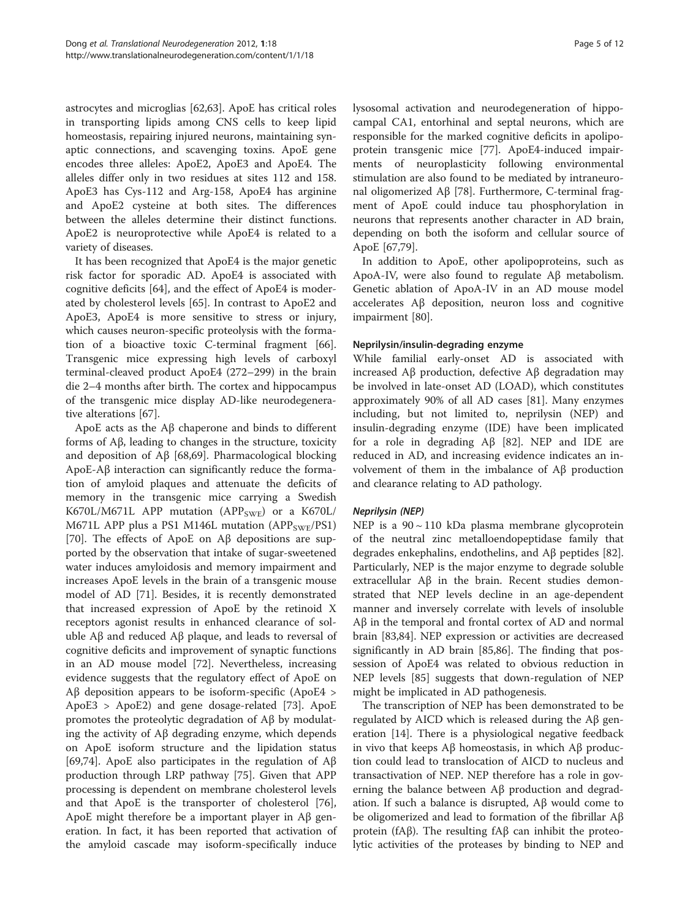astrocytes and microglias [[62,63\]](#page-9-0). ApoE has critical roles in transporting lipids among CNS cells to keep lipid homeostasis, repairing injured neurons, maintaining synaptic connections, and scavenging toxins. ApoE gene encodes three alleles: ApoE2, ApoE3 and ApoE4. The alleles differ only in two residues at sites 112 and 158. ApoE3 has Cys-112 and Arg-158, ApoE4 has arginine and ApoE2 cysteine at both sites. The differences between the alleles determine their distinct functions. ApoE2 is neuroprotective while ApoE4 is related to a variety of diseases.

It has been recognized that ApoE4 is the major genetic risk factor for sporadic AD. ApoE4 is associated with cognitive deficits [[64\]](#page-9-0), and the effect of ApoE4 is moderated by cholesterol levels [\[65](#page-9-0)]. In contrast to ApoE2 and ApoE3, ApoE4 is more sensitive to stress or injury, which causes neuron-specific proteolysis with the formation of a bioactive toxic C-terminal fragment [\[66](#page-9-0)]. Transgenic mice expressing high levels of carboxyl terminal-cleaved product ApoE4 (272–299) in the brain die 2–4 months after birth. The cortex and hippocampus of the transgenic mice display AD-like neurodegenerative alterations [\[67\]](#page-9-0).

ApoE acts as the Aβ chaperone and binds to different forms of Aβ, leading to changes in the structure, toxicity and deposition of Aβ [\[68,69](#page-9-0)]. Pharmacological blocking ApoE-Aβ interaction can significantly reduce the formation of amyloid plaques and attenuate the deficits of memory in the transgenic mice carrying a Swedish K670L/M671L APP mutation (APP<sub>SWE</sub>) or a K670L/ M671L APP plus a PS1 M146L mutation (APP<sub>SWE</sub>/PS1) [[70\]](#page-9-0). The effects of ApoE on Aβ depositions are supported by the observation that intake of sugar-sweetened water induces amyloidosis and memory impairment and increases ApoE levels in the brain of a transgenic mouse model of AD [[71](#page-9-0)]. Besides, it is recently demonstrated that increased expression of ApoE by the retinoid X receptors agonist results in enhanced clearance of soluble Aβ and reduced Aβ plaque, and leads to reversal of cognitive deficits and improvement of synaptic functions in an AD mouse model [[72](#page-9-0)]. Nevertheless, increasing evidence suggests that the regulatory effect of ApoE on Aβ deposition appears to be isoform-specific (ApoE4  $>$ ApoE3 > ApoE2) and gene dosage-related [\[73](#page-9-0)]. ApoE promotes the proteolytic degradation of Aβ by modulating the activity of Aβ degrading enzyme, which depends on ApoE isoform structure and the lipidation status [[69,74\]](#page-9-0). ApoE also participates in the regulation of Aβ production through LRP pathway [[75\]](#page-9-0). Given that APP processing is dependent on membrane cholesterol levels and that ApoE is the transporter of cholesterol [\[76](#page-9-0)], ApoE might therefore be a important player in Aβ generation. In fact, it has been reported that activation of the amyloid cascade may isoform-specifically induce lysosomal activation and neurodegeneration of hippocampal CA1, entorhinal and septal neurons, which are responsible for the marked cognitive deficits in apolipoprotein transgenic mice [\[77](#page-9-0)]. ApoE4-induced impairments of neuroplasticity following environmental stimulation are also found to be mediated by intraneuronal oligomerized Aβ [\[78](#page-9-0)]. Furthermore, C-terminal fragment of ApoE could induce tau phosphorylation in neurons that represents another character in AD brain, depending on both the isoform and cellular source of ApoE [[67](#page-9-0),[79](#page-9-0)].

In addition to ApoE, other apolipoproteins, such as ApoA-IV, were also found to regulate Aβ metabolism. Genetic ablation of ApoA-IV in an AD mouse model accelerates Aβ deposition, neuron loss and cognitive impairment [[80](#page-9-0)].

### Neprilysin/insulin-degrading enzyme

While familial early-onset AD is associated with increased Aβ production, defective Aβ degradation may be involved in late-onset AD (LOAD), which constitutes approximately 90% of all AD cases [[81\]](#page-9-0). Many enzymes including, but not limited to, neprilysin (NEP) and insulin-degrading enzyme (IDE) have been implicated for a role in degrading Aβ [[82\]](#page-9-0). NEP and IDE are reduced in AD, and increasing evidence indicates an involvement of them in the imbalance of Aβ production and clearance relating to AD pathology.

#### Neprilysin (NEP)

NEP is a  $90 \sim 110$  kDa plasma membrane glycoprotein of the neutral zinc metalloendopeptidase family that degrades enkephalins, endothelins, and Aβ peptides [\[82](#page-9-0)]. Particularly, NEP is the major enzyme to degrade soluble extracellular Aβ in the brain. Recent studies demonstrated that NEP levels decline in an age-dependent manner and inversely correlate with levels of insoluble Aβ in the temporal and frontal cortex of AD and normal brain [[83,84](#page-9-0)]. NEP expression or activities are decreased significantly in AD brain [\[85,86](#page-9-0)]. The finding that possession of ApoE4 was related to obvious reduction in NEP levels [\[85](#page-9-0)] suggests that down-regulation of NEP might be implicated in AD pathogenesis.

The transcription of NEP has been demonstrated to be regulated by AICD which is released during the Aβ generation [[14\]](#page-7-0). There is a physiological negative feedback in vivo that keeps Aβ homeostasis, in which Aβ production could lead to translocation of AICD to nucleus and transactivation of NEP. NEP therefore has a role in governing the balance between Aβ production and degradation. If such a balance is disrupted, Aβ would come to be oligomerized and lead to formation of the fibrillar Aβ protein (fAβ). The resulting fAβ can inhibit the proteolytic activities of the proteases by binding to NEP and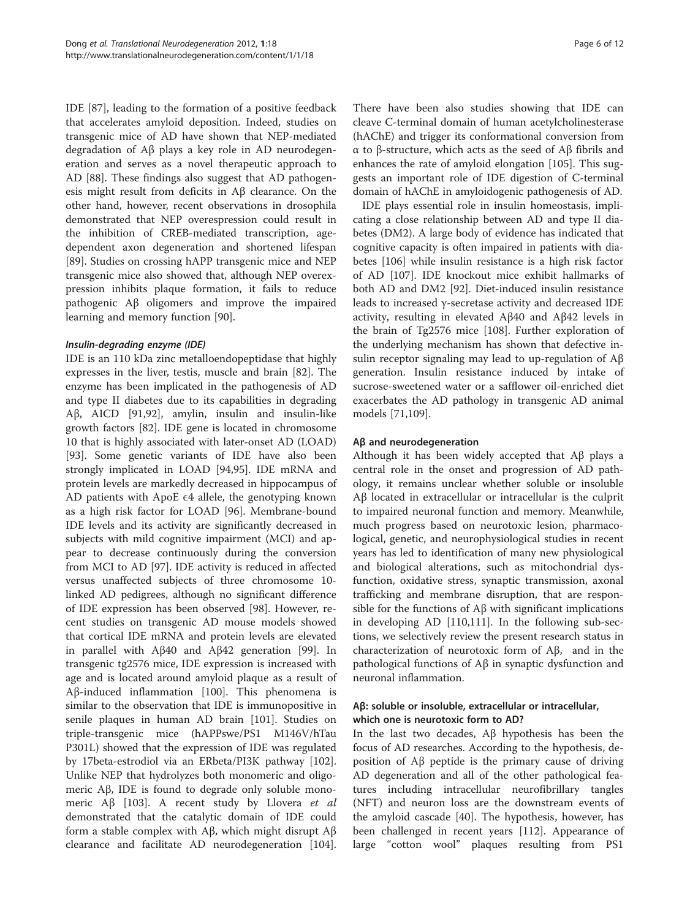IDE [\[87\]](#page-9-0), leading to the formation of a positive feedback that accelerates amyloid deposition. Indeed, studies on transgenic mice of AD have shown that NEP-mediated degradation of Aβ plays a key role in AD neurodegeneration and serves as a novel therapeutic approach to AD [\[88](#page-9-0)]. These findings also suggest that AD pathogenesis might result from deficits in Aβ clearance. On the other hand, however, recent observations in drosophila demonstrated that NEP overespression could result in the inhibition of CREB-mediated transcription, agedependent axon degeneration and shortened lifespan [[89\]](#page-9-0). Studies on crossing hAPP transgenic mice and NEP transgenic mice also showed that, although NEP overexpression inhibits plaque formation, it fails to reduce pathogenic Aβ oligomers and improve the impaired learning and memory function [[90\]](#page-9-0).

### Insulin-degrading enzyme (IDE)

IDE is an 110 kDa zinc metalloendopeptidase that highly expresses in the liver, testis, muscle and brain [[82](#page-9-0)]. The enzyme has been implicated in the pathogenesis of AD and type II diabetes due to its capabilities in degrading Aβ, AICD [[91,92\]](#page-9-0), amylin, insulin and insulin-like growth factors [\[82\]](#page-9-0). IDE gene is located in chromosome 10 that is highly associated with later-onset AD (LOAD) [[93\]](#page-9-0). Some genetic variants of IDE have also been strongly implicated in LOAD [[94](#page-9-0),[95](#page-9-0)]. IDE mRNA and protein levels are markedly decreased in hippocampus of AD patients with ApoE  $\epsilon$ 4 allele, the genotyping known as a high risk factor for LOAD [[96\]](#page-9-0). Membrane-bound IDE levels and its activity are significantly decreased in subjects with mild cognitive impairment (MCI) and appear to decrease continuously during the conversion from MCI to AD [\[97](#page-9-0)]. IDE activity is reduced in affected versus unaffected subjects of three chromosome 10 linked AD pedigrees, although no significant difference of IDE expression has been observed [\[98](#page-10-0)]. However, recent studies on transgenic AD mouse models showed that cortical IDE mRNA and protein levels are elevated in parallel with Aβ40 and Aβ42 generation [[99](#page-10-0)]. In transgenic tg2576 mice, IDE expression is increased with age and is located around amyloid plaque as a result of Aβ-induced inflammation [[100\]](#page-10-0). This phenomena is similar to the observation that IDE is immunopositive in senile plaques in human AD brain [\[101](#page-10-0)]. Studies on triple-transgenic mice (hAPPswe/PS1 M146V/hTau P301L) showed that the expression of IDE was regulated by 17beta-estrodiol via an ERbeta/PI3K pathway [\[102](#page-10-0)]. Unlike NEP that hydrolyzes both monomeric and oligomeric Aβ, IDE is found to degrade only soluble mono-meric Aβ [[103](#page-10-0)]. A recent study by Llovera *et al* demonstrated that the catalytic domain of IDE could form a stable complex with Aβ, which might disrupt Aβ clearance and facilitate AD neurodegeneration [\[104](#page-10-0)].

There have been also studies showing that IDE can cleave C-terminal domain of human acetylcholinesterase (hAChE) and trigger its conformational conversion from α to β-structure, which acts as the seed of Aβ fibrils and enhances the rate of amyloid elongation [[105](#page-10-0)]. This suggests an important role of IDE digestion of C-terminal domain of hAChE in amyloidogenic pathogenesis of AD.

IDE plays essential role in insulin homeostasis, implicating a close relationship between AD and type II diabetes (DM2). A large body of evidence has indicated that cognitive capacity is often impaired in patients with diabetes [[106](#page-10-0)] while insulin resistance is a high risk factor of AD [[107](#page-10-0)]. IDE knockout mice exhibit hallmarks of both AD and DM2 [[92](#page-9-0)]. Diet-induced insulin resistance leads to increased γ-secretase activity and decreased IDE activity, resulting in elevated Aβ40 and Aβ42 levels in the brain of Tg2576 mice [[108](#page-10-0)]. Further exploration of the underlying mechanism has shown that defective insulin receptor signaling may lead to up-regulation of Aβ generation. Insulin resistance induced by intake of sucrose-sweetened water or a safflower oil-enriched diet exacerbates the AD pathology in transgenic AD animal models [\[71,](#page-9-0)[109\]](#page-10-0).

# Aβ and neurodegeneration

Although it has been widely accepted that Aβ plays a central role in the onset and progression of AD pathology, it remains unclear whether soluble or insoluble Aβ located in extracellular or intracellular is the culprit to impaired neuronal function and memory. Meanwhile, much progress based on neurotoxic lesion, pharmacological, genetic, and neurophysiological studies in recent years has led to identification of many new physiological and biological alterations, such as mitochondrial dysfunction, oxidative stress, synaptic transmission, axonal trafficking and membrane disruption, that are responsible for the functions of  $\Delta\beta$  with significant implications in developing AD [[110,111](#page-10-0)]. In the following sub-sections, we selectively review the present research status in characterization of neurotoxic form of Aβ, and in the pathological functions of Aβ in synaptic dysfunction and neuronal inflammation.

# Aβ: soluble or insoluble, extracellular or intracellular, which one is neurotoxic form to AD?

In the last two decades, Aβ hypothesis has been the focus of AD researches. According to the hypothesis, deposition of Aβ peptide is the primary cause of driving AD degeneration and all of the other pathological features including intracellular neurofibrillary tangles (NFT) and neuron loss are the downstream events of the amyloid cascade [\[40](#page-8-0)]. The hypothesis, however, has been challenged in recent years [\[112](#page-10-0)]. Appearance of large "cotton wool" plaques resulting from PS1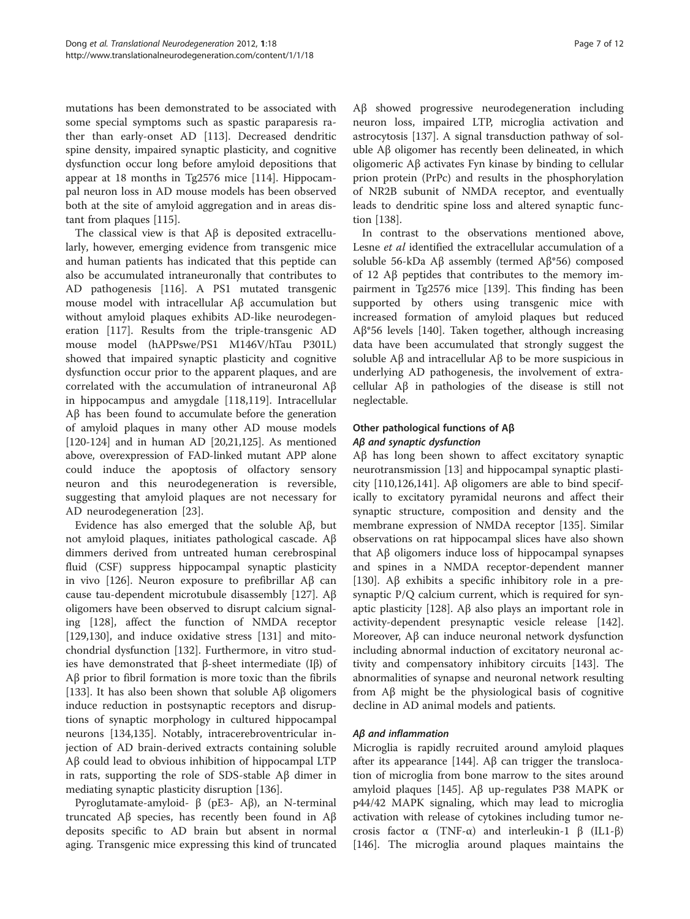mutations has been demonstrated to be associated with some special symptoms such as spastic paraparesis rather than early-onset AD [\[113\]](#page-10-0). Decreased dendritic spine density, impaired synaptic plasticity, and cognitive dysfunction occur long before amyloid depositions that appear at 18 months in Tg2576 mice [\[114](#page-10-0)]. Hippocampal neuron loss in AD mouse models has been observed both at the site of amyloid aggregation and in areas distant from plaques [[115](#page-10-0)].

The classical view is that Aβ is deposited extracellularly, however, emerging evidence from transgenic mice and human patients has indicated that this peptide can also be accumulated intraneuronally that contributes to AD pathogenesis [[116](#page-10-0)]. A PS1 mutated transgenic mouse model with intracellular Aβ accumulation but without amyloid plaques exhibits AD-like neurodegeneration [\[117\]](#page-10-0). Results from the triple-transgenic AD mouse model (hAPPswe/PS1 M146V/hTau P301L) showed that impaired synaptic plasticity and cognitive dysfunction occur prior to the apparent plaques, and are correlated with the accumulation of intraneuronal Aβ in hippocampus and amygdale [\[118,119](#page-10-0)]. Intracellular Aβ has been found to accumulate before the generation of amyloid plaques in many other AD mouse models [[120](#page-10-0)-[124](#page-10-0)] and in human AD [\[20,21](#page-8-0)[,125\]](#page-10-0). As mentioned above, overexpression of FAD-linked mutant APP alone could induce the apoptosis of olfactory sensory neuron and this neurodegeneration is reversible, suggesting that amyloid plaques are not necessary for AD neurodegeneration [\[23](#page-8-0)].

Evidence has also emerged that the soluble Aβ, but not amyloid plaques, initiates pathological cascade. Aβ dimmers derived from untreated human cerebrospinal fluid (CSF) suppress hippocampal synaptic plasticity in vivo [[126](#page-10-0)]. Neuron exposure to prefibrillar  $\text{A}\beta$  can cause tau-dependent microtubule disassembly [[127](#page-10-0)]. Aβ oligomers have been observed to disrupt calcium signaling [[128](#page-10-0)], affect the function of NMDA receptor [[129,130](#page-10-0)], and induce oxidative stress [\[131](#page-10-0)] and mitochondrial dysfunction [[132](#page-10-0)]. Furthermore, in vitro studies have demonstrated that β-sheet intermediate (Iβ) of Aβ prior to fibril formation is more toxic than the fibrils [[133\]](#page-10-0). It has also been shown that soluble  $\overrightarrow{AB}$  oligomers induce reduction in postsynaptic receptors and disruptions of synaptic morphology in cultured hippocampal neurons [\[134,135\]](#page-10-0). Notably, intracerebroventricular injection of AD brain-derived extracts containing soluble Aβ could lead to obvious inhibition of hippocampal LTP in rats, supporting the role of SDS-stable Aβ dimer in mediating synaptic plasticity disruption [[136\]](#page-10-0).

Pyroglutamate-amyloid- β (pE3- Aβ), an N-terminal truncated Aβ species, has recently been found in Aβ deposits specific to AD brain but absent in normal aging. Transgenic mice expressing this kind of truncated Aβ showed progressive neurodegeneration including neuron loss, impaired LTP, microglia activation and astrocytosis [[137\]](#page-10-0). A signal transduction pathway of soluble Aβ oligomer has recently been delineated, in which oligomeric Aβ activates Fyn kinase by binding to cellular prion protein (PrPc) and results in the phosphorylation of NR2B subunit of NMDA receptor, and eventually leads to dendritic spine loss and altered synaptic function [\[138\]](#page-11-0).

In contrast to the observations mentioned above, Lesne et al identified the extracellular accumulation of a soluble 56-kDa Aβ assembly (termed Aβ\*56) composed of 12 Aβ peptides that contributes to the memory impairment in Tg2576 mice [[139](#page-11-0)]. This finding has been supported by others using transgenic mice with increased formation of amyloid plaques but reduced Aβ\*56 levels [\[140\]](#page-11-0). Taken together, although increasing data have been accumulated that strongly suggest the soluble Aβ and intracellular Aβ to be more suspicious in underlying AD pathogenesis, the involvement of extracellular Aβ in pathologies of the disease is still not neglectable.

# Other pathological functions of Aβ Aβ and synaptic dysfunction

Aβ has long been shown to affect excitatory synaptic neurotransmission [[13\]](#page-7-0) and hippocampal synaptic plasticity [[110,126,](#page-10-0)[141](#page-11-0)]. Aβ oligomers are able to bind specifically to excitatory pyramidal neurons and affect their synaptic structure, composition and density and the membrane expression of NMDA receptor [[135\]](#page-10-0). Similar observations on rat hippocampal slices have also shown that Aβ oligomers induce loss of hippocampal synapses and spines in a NMDA receptor-dependent manner [[130\]](#page-10-0). Aβ exhibits a specific inhibitory role in a presynaptic P/Q calcium current, which is required for synaptic plasticity [[128\]](#page-10-0). Aβ also plays an important role in activity-dependent presynaptic vesicle release [[142](#page-11-0)]. Moreover, Aβ can induce neuronal network dysfunction including abnormal induction of excitatory neuronal activity and compensatory inhibitory circuits [\[143\]](#page-11-0). The abnormalities of synapse and neuronal network resulting from Aβ might be the physiological basis of cognitive decline in AD animal models and patients.

### Aβ and inflammation

Microglia is rapidly recruited around amyloid plaques after its appearance [\[144\]](#page-11-0). Aβ can trigger the translocation of microglia from bone marrow to the sites around amyloid plaques [\[145](#page-11-0)]. Aβ up-regulates P38 MAPK or p44/42 MAPK signaling, which may lead to microglia activation with release of cytokines including tumor necrosis factor  $\alpha$  (TNF- $\alpha$ ) and interleukin-1 β (IL1-β) [[146\]](#page-11-0). The microglia around plaques maintains the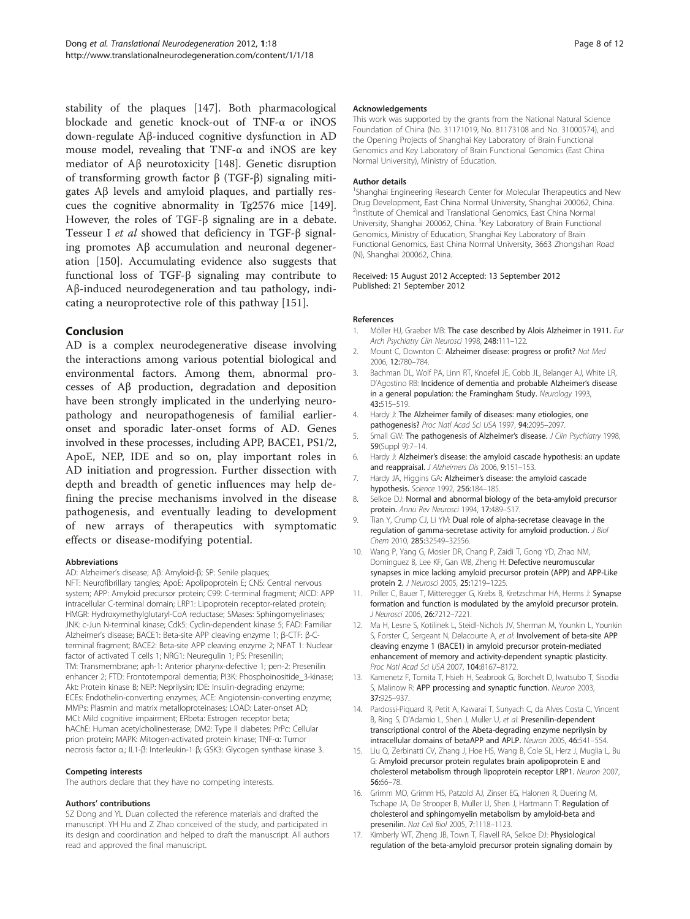<span id="page-7-0"></span>stability of the plaques [\[147](#page-11-0)]. Both pharmacological blockade and genetic knock-out of TNF-α or iNOS down-regulate Aβ-induced cognitive dysfunction in AD mouse model, revealing that TNF-α and iNOS are key mediator of Aβ neurotoxicity [\[148\]](#page-11-0). Genetic disruption of transforming growth factor β (TGF-β) signaling mitigates Aβ levels and amyloid plaques, and partially rescues the cognitive abnormality in Tg2576 mice [\[149](#page-11-0)]. However, the roles of TGF-β signaling are in a debate. Tesseur I et al showed that deficiency in TGF-β signaling promotes Aβ accumulation and neuronal degeneration [[150\]](#page-11-0). Accumulating evidence also suggests that functional loss of TGF-β signaling may contribute to Aβ-induced neurodegeneration and tau pathology, indicating a neuroprotective role of this pathway [\[151](#page-11-0)].

### Conclusion

AD is a complex neurodegenerative disease involving the interactions among various potential biological and environmental factors. Among them, abnormal processes of Aβ production, degradation and deposition have been strongly implicated in the underlying neuropathology and neuropathogenesis of familial earlieronset and sporadic later-onset forms of AD. Genes involved in these processes, including APP, BACE1, PS1/2, ApoE, NEP, IDE and so on, play important roles in AD initiation and progression. Further dissection with depth and breadth of genetic influences may help defining the precise mechanisms involved in the disease pathogenesis, and eventually leading to development of new arrays of therapeutics with symptomatic effects or disease-modifying potential.

#### Abbreviations

AD: Alzheimer's disease; Aβ: Amyloid-β; SP: Senile plaques;

NFT: Neurofibrillary tangles; ApoE: Apolipoprotein E; CNS: Central nervous system; APP: Amyloid precursor protein; C99: C-terminal fragment; AICD: APP intracellular C-terminal domain; LRP1: Lipoprotein receptor-related protein; HMGR: Hydroxymethylglutaryl-CoA reductase; SMases: Sphingomyelinases; JNK: c-Jun N-terminal kinase; Cdk5: Cyclin-dependent kinase 5; FAD: Familiar Alzheimer's disease; BACE1: Beta-site APP cleaving enzyme 1; β-CTF: β-Cterminal fragment; BACE2: Beta-site APP cleaving enzyme 2; NFAT 1: Nuclear factor of activated T cells 1; NRG1: Neuregulin 1; PS: Presenilin; TM: Transmembrane; aph-1: Anterior pharynx-defective 1; pen-2: Presenilin enhancer 2; FTD: Frontotemporal dementia; PI3K: Phosphoinositide\_3-kinase; Akt: Protein kinase B; NEP: Neprilysin; IDE: Insulin-degrading enzyme; ECEs: Endothelin-converting enzymes; ACE: Angiotensin-converting enzyme; MMPs: Plasmin and matrix metalloproteinases; LOAD: Later-onset AD; MCI: Mild cognitive impairment; ERbeta: Estrogen receptor beta; hAChE: Human acetylcholinesterase; DM2: Type II diabetes; PrPc: Cellular prion protein; MAPK: Mitogen-activated protein kinase; TNF-α: Tumor necrosis factor α.; IL1-β: Interleukin-1 β; GSK3: Glycogen synthase kinase 3.

#### Competing interests

The authors declare that they have no competing interests.

#### Authors' contributions

SZ Dong and YL Duan collected the reference materials and drafted the manuscript. YH Hu and Z Zhao conceived of the study, and participated in its design and coordination and helped to draft the manuscript. All authors read and approved the final manuscript.

#### Acknowledgements

This work was supported by the grants from the National Natural Science Foundation of China (No. 31171019, No. 81173108 and No. 31000574), and the Opening Projects of Shanghai Key Laboratory of Brain Functional Genomics and Key Laboratory of Brain Functional Genomics (East China Normal University), Ministry of Education.

#### Author details

<sup>1</sup>Shanghai Engineering Research Center for Molecular Therapeutics and New Drug Development, East China Normal University, Shanghai 200062, China. 2 Institute of Chemical and Translational Genomics, East China Normal University, Shanghai 200062, China. <sup>3</sup>Key Laboratory of Brain Functional Genomics, Ministry of Education, Shanghai Key Laboratory of Brain Functional Genomics, East China Normal University, 3663 Zhongshan Road (N), Shanghai 200062, China.

Received: 15 August 2012 Accepted: 13 September 2012 Published: 21 September 2012

#### References

- Möller HJ, Graeber MB: The case described by Alois Alzheimer in 1911. Eur Arch Psychiatry Clin Neurosci 1998, 248:111–122.
- 2. Mount C, Downton C: Alzheimer disease: progress or profit? Nat Med 2006, 12:780–784.
- 3. Bachman DL, Wolf PA, Linn RT, Knoefel JE, Cobb JL, Belanger AJ, White LR, D'Agostino RB: Incidence of dementia and probable Alzheimer's disease in a general population: the Framingham Study. Neurology 1993, 43:515–519.
- 4. Hardy J: The Alzheimer family of diseases: many etiologies, one pathogenesis? Proc Natl Acad Sci USA 1997, 94:2095–2097.
- 5. Small GW: The pathogenesis of Alzheimer's disease. J Clin Psychiatry 1998, 59(Suppl 9):7–14.
- 6. Hardy J: Alzheimer's disease: the amyloid cascade hypothesis: an update and reappraisal. J Alzheimers Dis 2006, 9:151–153.
- 7. Hardy JA, Higgins GA: Alzheimer's disease: the amyloid cascade hypothesis. Science 1992, 256:184–185.
- 8. Selkoe DJ: Normal and abnormal biology of the beta-amyloid precursor protein. Annu Rev Neurosci 1994, 17:489–517.
- 9. Tian Y, Crump CJ, Li YM: Dual role of alpha-secretase cleavage in the regulation of gamma-secretase activity for amyloid production. J Biol Chem 2010, 285:32549–32556.
- 10. Wang P, Yang G, Mosier DR, Chang P, Zaidi T, Gong YD, Zhao NM, Dominguez B, Lee KF, Gan WB, Zheng H: Defective neuromuscular synapses in mice lacking amyloid precursor protein (APP) and APP-Like protein 2. J Neurosci 2005, 25:1219–1225.
- 11. Priller C, Bauer T, Mitteregger G, Krebs B, Kretzschmar HA, Herms J: Synapse formation and function is modulated by the amyloid precursor protein. J Neurosci 2006, 26:7212–7221.
- 12. Ma H, Lesne S, Kotilinek L, Steidl-Nichols JV, Sherman M, Younkin L, Younkin S, Forster C, Sergeant N, Delacourte A, et al: Involvement of beta-site APP cleaving enzyme 1 (BACE1) in amyloid precursor protein-mediated enhancement of memory and activity-dependent synaptic plasticity. Proc Natl Acad Sci USA 2007, 104:8167–8172.
- 13. Kamenetz F, Tomita T, Hsieh H, Seabrook G, Borchelt D, Iwatsubo T, Sisodia S, Malinow R: APP processing and synaptic function. Neuron 2003, 37:925–937.
- 14. Pardossi-Piquard R, Petit A, Kawarai T, Sunyach C, da Alves Costa C, Vincent B, Ring S, D'Adamio L, Shen J, Muller U, et al: Presenilin-dependent transcriptional control of the Abeta-degrading enzyme neprilysin by intracellular domains of betaAPP and APLP. Neuron 2005, 46:541–554.
- 15. Liu Q, Zerbinatti CV, Zhang J, Hoe HS, Wang B, Cole SL, Herz J, Muglia L, Bu G: Amyloid precursor protein regulates brain apolipoprotein E and cholesterol metabolism through lipoprotein receptor LRP1. Neuron 2007, 56:66–78.
- 16. Grimm MO, Grimm HS, Patzold AJ, Zinser EG, Halonen R, Duering M, Tschape JA, De Strooper B, Muller U, Shen J, Hartmann T: Regulation of cholesterol and sphingomyelin metabolism by amyloid-beta and presenilin. Nat Cell Biol 2005, 7:1118–1123.
- 17. Kimberly WT, Zheng JB, Town T, Flavell RA, Selkoe DJ: Physiological regulation of the beta-amyloid precursor protein signaling domain by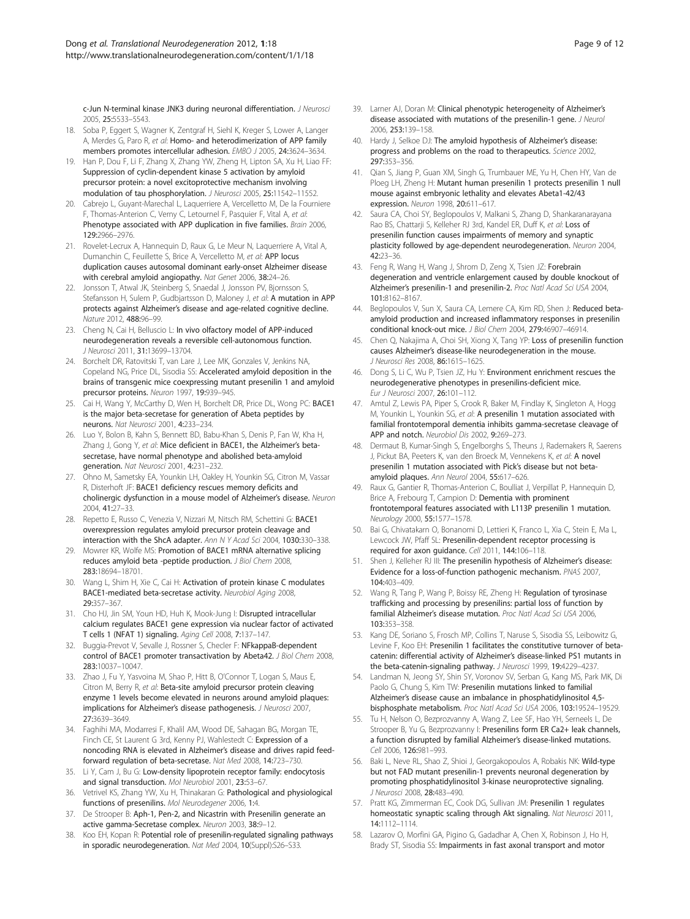<span id="page-8-0"></span>c-Jun N-terminal kinase JNK3 during neuronal differentiation. J Neurosci 2005, 25:5533–5543.

- 18. Soba P, Eggert S, Wagner K, Zentgraf H, Siehl K, Kreger S, Lower A, Langer A, Merdes G, Paro R, et al: Homo- and heterodimerization of APP family members promotes intercellular adhesion. EMBO J 2005, 24:3624–3634.
- 19. Han P, Dou F, Li F, Zhang X, Zhang YW, Zheng H, Lipton SA, Xu H, Liao FF: Suppression of cyclin-dependent kinase 5 activation by amyloid precursor protein: a novel excitoprotective mechanism involving modulation of tau phosphorylation. J Neurosci 2005, 25:11542–11552.
- 20. Cabrejo L, Guyant-Marechal L, Laquerriere A, Vercelletto M, De la Fourniere F, Thomas-Anterion C, Verny C, Letournel F, Pasquier F, Vital A, et al: Phenotype associated with APP duplication in five families. Brain 2006, 129:2966–2976.
- 21. Rovelet-Lecrux A, Hannequin D, Raux G, Le Meur N, Laquerriere A, Vital A, Dumanchin C, Feuillette S, Brice A, Vercelletto M, et al: APP locus duplication causes autosomal dominant early-onset Alzheimer disease with cerebral amyloid angiopathy. Nat Genet 2006, 38:24–26.
- 22. Jonsson T, Atwal JK, Steinberg S, Snaedal J, Jonsson PV, Bjornsson S, Stefansson H, Sulem P, Gudbjartsson D, Maloney J, et al: A mutation in APP protects against Alzheimer's disease and age-related cognitive decline. Nature 2012, 488:96–99.
- 23. Cheng N, Cai H, Belluscio L: In vivo olfactory model of APP-induced neurodegeneration reveals a reversible cell-autonomous function. J Neurosci 2011, 31:13699–13704.
- 24. Borchelt DR, Ratovitski T, van Lare J, Lee MK, Gonzales V, Jenkins NA, Copeland NG, Price DL, Sisodia SS: Accelerated amyloid deposition in the brains of transgenic mice coexpressing mutant presenilin 1 and amyloid precursor proteins. Neuron 1997, 19:939–945.
- 25. Cai H, Wang Y, McCarthy D, Wen H, Borchelt DR, Price DL, Wong PC: BACE1 is the major beta-secretase for generation of Abeta peptides by neurons. Nat Neurosci 2001, 4:233–234.
- 26. Luo Y, Bolon B, Kahn S, Bennett BD, Babu-Khan S, Denis P, Fan W, Kha H, Zhang J, Gong Y, et al: Mice deficient in BACE1, the Alzheimer's betasecretase, have normal phenotype and abolished beta-amyloid generation. Nat Neurosci 2001, 4:231–232.
- 27. Ohno M, Sametsky EA, Younkin LH, Oakley H, Younkin SG, Citron M, Vassar R, Disterhoft JF: BACE1 deficiency rescues memory deficits and cholinergic dysfunction in a mouse model of Alzheimer's disease. Neuron 2004, 41:27–33.
- 28. Repetto E, Russo C, Venezia V, Nizzari M, Nitsch RM, Schettini G: BACE1 overexpression regulates amyloid precursor protein cleavage and interaction with the ShcA adapter. Ann N Y Acad Sci 2004, 1030:330–338.
- 29. Mowrer KR, Wolfe MS: Promotion of BACE1 mRNA alternative splicing reduces amyloid beta -peptide production. J Biol Chem 2008, 283:18694–18701.
- 30. Wang L, Shim H, Xie C, Cai H: Activation of protein kinase C modulates BACE1-mediated beta-secretase activity. Neurobiol Aging 2008, 29:357–367.
- 31. Cho HJ, Jin SM, Youn HD, Huh K, Mook-Jung I: Disrupted intracellular calcium regulates BACE1 gene expression via nuclear factor of activated T cells 1 (NFAT 1) signaling. Aging Cell 2008, 7:137–147.
- 32. Buggia-Prevot V, Sevalle J, Rossner S, Checler F: NFkappaB-dependent control of BACE1 promoter transactivation by Abeta42. J Biol Chem 2008, 283:10037–10047.
- 33. Zhao J, Fu Y, Yasvoina M, Shao P, Hitt B, O'Connor T, Logan S, Maus E, Citron M, Berry R, et al: Beta-site amyloid precursor protein cleaving enzyme 1 levels become elevated in neurons around amyloid plaques: implications for Alzheimer's disease pathogenesis. J Neurosci 2007, 27:3639–3649.
- 34. Faghihi MA, Modarresi F, Khalil AM, Wood DE, Sahagan BG, Morgan TE, Finch CE, St Laurent G 3rd, Kenny PJ, Wahlestedt C: Expression of a noncoding RNA is elevated in Alzheimer's disease and drives rapid feedforward regulation of beta-secretase. Nat Med 2008, 14:723–730.
- 35. Li Y, Cam J, Bu G: Low-density lipoprotein receptor family: endocytosis and signal transduction. Mol Neurobiol 2001, 23:53-67.
- 36. Vetrivel KS, Zhang YW, Xu H, Thinakaran G: Pathological and physiological functions of presenilins. Mol Neurodegener 2006, 1:4.
- 37. De Strooper B: Aph-1, Pen-2, and Nicastrin with Presenilin generate an active gamma-Secretase complex. Neuron 2003, 38:9–12.
- 38. Koo EH, Kopan R: Potential role of presenilin-regulated signaling pathways in sporadic neurodegeneration. Nat Med 2004, 10(Suppl):S26-S33.
- 39. Larner AJ, Doran M: Clinical phenotypic heterogeneity of Alzheimer's disease associated with mutations of the presenilin-1 gene. J Neurol 2006, 253:139–158.
- 40. Hardy J, Selkoe DJ: The amyloid hypothesis of Alzheimer's disease: progress and problems on the road to therapeutics. Science 2002, 297:353–356.
- 41. Qian S, Jiang P, Guan XM, Singh G, Trumbauer ME, Yu H, Chen HY, Van de Ploeg LH, Zheng H: Mutant human presenilin 1 protects presenilin 1 null mouse against embryonic lethality and elevates Abeta1-42/43 expression. Neuron 1998, 20:611–617.
- 42. Saura CA, Choi SY, Beglopoulos V, Malkani S, Zhang D, Shankaranarayana Rao BS, Chattarii S, Kelleher RJ 3rd, Kandel ER, Duff K, et al: Loss of presenilin function causes impairments of memory and synaptic plasticity followed by age-dependent neurodegeneration. Neuron 2004, 42:23–36.
- 43. Feng R, Wang H, Wang J, Shrom D, Zeng X, Tsien JZ: Forebrain degeneration and ventricle enlargement caused by double knockout of Alzheimer's presenilin-1 and presenilin-2. Proc Natl Acad Sci USA 2004, 101:8162–8167.
- 44. Beglopoulos V, Sun X, Saura CA, Lemere CA, Kim RD, Shen J: Reduced betaamyloid production and increased inflammatory responses in presenilin conditional knock-out mice. J Biol Chem 2004, 279:46907–46914.
- 45. Chen Q, Nakajima A, Choi SH, Xiong X, Tang YP: Loss of presenilin function causes Alzheimer's disease-like neurodegeneration in the mouse. J Neurosci Res 2008, 86:1615-1625.
- 46. Dong S, Li C, Wu P, Tsien JZ, Hu Y: Environment enrichment rescues the neurodegenerative phenotypes in presenilins-deficient mice. Eur J Neurosci 2007, 26:101–112.
- 47. Amtul Z, Lewis PA, Piper S, Crook R, Baker M, Findlay K, Singleton A, Hogg M, Younkin L, Younkin SG, et al: A presenilin 1 mutation associated with familial frontotemporal dementia inhibits gamma-secretase cleavage of APP and notch. Neurobiol Dis 2002, 9:269–273.
- 48. Dermaut B, Kumar-Singh S, Engelborghs S, Theuns J, Rademakers R, Saerens J, Pickut BA, Peeters K, van den Broeck M, Vennekens K, et al: A novel presenilin 1 mutation associated with Pick's disease but not betaamyloid plaques. Ann Neurol 2004, 55:617-626.
- 49. Raux G, Gantier R, Thomas-Anterion C, Boulliat J, Verpillat P, Hannequin D, Brice A, Frebourg T, Campion D: Dementia with prominent frontotemporal features associated with L113P presenilin 1 mutation. Neurology 2000, 55:1577–1578.
- 50. Bai G, Chivatakarn O, Bonanomi D, Lettieri K, Franco L, Xia C, Stein E, Ma L, Lewcock JW, Pfaff SL: Presenilin-dependent receptor processing is required for axon guidance. Cell 2011, 144:106–118.
- 51. Shen J, Kelleher RJ III: The presenilin hypothesis of Alzheimer's disease: Evidence for a loss-of-function pathogenic mechanism. PNAS 2007, 104:403–409.
- 52. Wang R, Tang P, Wang P, Boissy RE, Zheng H: Regulation of tyrosinase trafficking and processing by presenilins: partial loss of function by familial Alzheimer's disease mutation. Proc Natl Acad Sci USA 2006, 103:353–358.
- 53. Kang DE, Soriano S, Frosch MP, Collins T, Naruse S, Sisodia SS, Leibowitz G, Levine F, Koo EH: Presenilin 1 facilitates the constitutive turnover of betacatenin: differential activity of Alzheimer's disease-linked PS1 mutants in the beta-catenin-signaling pathway. J Neurosci 1999, 19:4229–4237.
- 54. Landman N, Jeong SY, Shin SY, Voronov SV, Serban G, Kang MS, Park MK, Di Paolo G, Chung S, Kim TW: Presenilin mutations linked to familial Alzheimer's disease cause an imbalance in phosphatidylinositol 4,5 bisphosphate metabolism. Proc Natl Acad Sci USA 2006, 103:19524–19529.
- 55. Tu H, Nelson O, Bezprozvanny A, Wang Z, Lee SF, Hao YH, Serneels L, De Strooper B, Yu G, Bezprozvanny I: Presenilins form ER Ca2+ leak channels, a function disrupted by familial Alzheimer's disease-linked mutations. Cell 2006, 126:981–993.
- 56. Baki L, Neve RL, Shao Z, Shioi J, Georgakopoulos A, Robakis NK: Wild-type but not FAD mutant presenilin-1 prevents neuronal degeneration by promoting phosphatidylinositol 3-kinase neuroprotective signaling. J Neurosci 2008, 28:483–490.
- 57. Pratt KG, Zimmerman EC, Cook DG, Sullivan JM: Presenilin 1 regulates homeostatic synaptic scaling through Akt signaling. Nat Neurosci 2011, 14:1112–1114.
- 58. Lazarov O, Morfini GA, Pigino G, Gadadhar A, Chen X, Robinson J, Ho H, Brady ST, Sisodia SS: Impairments in fast axonal transport and motor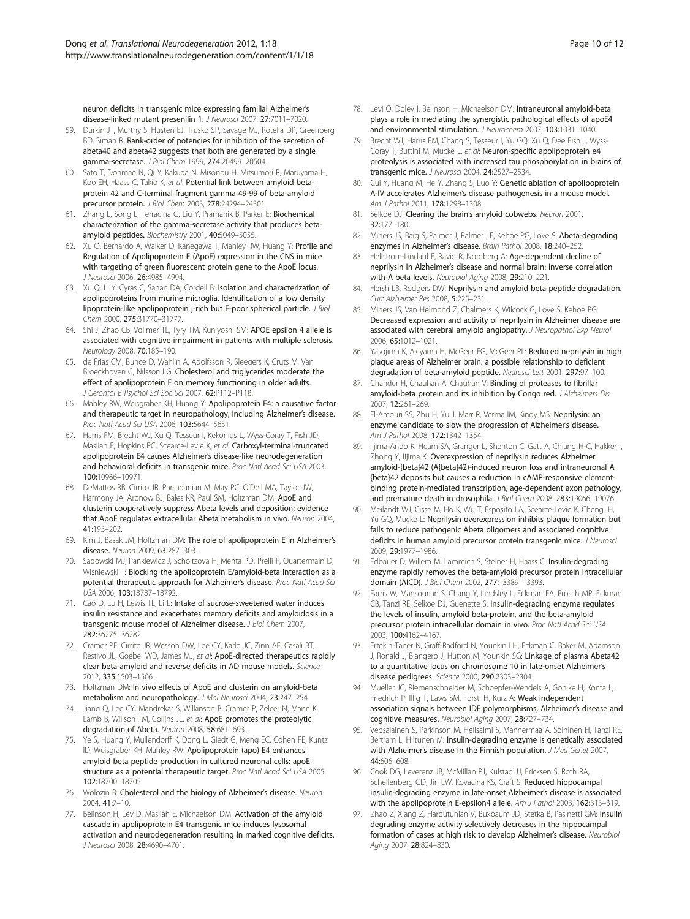<span id="page-9-0"></span>neuron deficits in transgenic mice expressing familial Alzheimer's disease-linked mutant presenilin 1. J Neurosci 2007, 27:7011–7020.

- 59. Durkin JT, Murthy S, Husten EJ, Trusko SP, Savage MJ, Rotella DP, Greenberg BD, Siman R: Rank-order of potencies for inhibition of the secretion of abeta40 and abeta42 suggests that both are generated by a single gamma-secretase. J Biol Chem 1999, 274:20499–20504.
- 60. Sato T, Dohmae N, Qi Y, Kakuda N, Misonou H, Mitsumori R, Maruyama H, Koo EH, Haass C, Takio K, et al: Potential link between amyloid betaprotein 42 and C-terminal fragment gamma 49-99 of beta-amyloid precursor protein. J Biol Chem 2003, 278:24294–24301.
- 61. Zhang L, Song L, Terracina G, Liu Y, Pramanik B, Parker E: Biochemical characterization of the gamma-secretase activity that produces betaamyloid peptides. Biochemistry 2001, 40:5049–5055.
- 62. Xu Q, Bernardo A, Walker D, Kanegawa T, Mahley RW, Huang Y: Profile and Regulation of Apolipoprotein E (ApoE) expression in the CNS in mice with targeting of green fluorescent protein gene to the ApoE locus. J Neurosci 2006, 26:4985–4994.
- 63. Xu Q, Li Y, Cyras C, Sanan DA, Cordell B: Isolation and characterization of apolipoproteins from murine microglia. Identification of a low density lipoprotein-like apolipoprotein j-rich but E-poor spherical particle. J Biol Chem 2000, 275:31770–31777.
- 64. Shi J, Zhao CB, Vollmer TL, Tyry TM, Kuniyoshi SM: APOE epsilon 4 allele is associated with cognitive impairment in patients with multiple sclerosis. Neurology 2008, 70:185–190.
- 65. de Frias CM, Bunce D, Wahlin A, Adolfsson R, Sleegers K, Cruts M, Van Broeckhoven C, Nilsson LG: Cholesterol and triglycerides moderate the effect of apolipoprotein E on memory functioning in older adults. J Gerontol B Psychol Sci Soc Sci 2007, 62:P112–P118.
- 66. Mahley RW, Weisgraber KH, Huang Y: Apolipoprotein E4: a causative factor and therapeutic target in neuropathology, including Alzheimer's disease. Proc Natl Acad Sci USA 2006, 103:5644–5651.
- 67. Harris FM, Brecht WJ, Xu Q, Tesseur I, Kekonius L, Wyss-Coray T, Fish JD, Masliah E, Hopkins PC, Scearce-Levie K, et al: Carboxyl-terminal-truncated apolipoprotein E4 causes Alzheimer's disease-like neurodegeneration and behavioral deficits in transgenic mice. Proc Natl Acad Sci USA 2003, 100:10966–10971.
- 68. DeMattos RB, Cirrito JR, Parsadanian M, May PC, O'Dell MA, Taylor JW, Harmony JA, Aronow BJ, Bales KR, Paul SM, Holtzman DM: ApoE and clusterin cooperatively suppress Abeta levels and deposition: evidence that ApoE regulates extracellular Abeta metabolism in vivo. Neuron 2004, 41:193–202.
- 69. Kim J, Basak JM, Holtzman DM: The role of apolipoprotein E in Alzheimer's disease. Neuron 2009, 63:287–303.
- 70. Sadowski MJ, Pankiewicz J, Scholtzova H, Mehta PD, Prelli F, Quartermain D, Wisniewski T: Blocking the apolipoprotein E/amyloid-beta interaction as a potential therapeutic approach for Alzheimer's disease. Proc Natl Acad Sci USA 2006, 103:18787–18792.
- 71. Cao D, Lu H, Lewis TL, Li L: Intake of sucrose-sweetened water induces insulin resistance and exacerbates memory deficits and amyloidosis in a transgenic mouse model of Alzheimer disease. J Biol Chem 2007, 282:36275–36282.
- 72. Cramer PE, Cirrito JR, Wesson DW, Lee CY, Karlo JC, Zinn AE, Casali BT, Restivo JL, Goebel WD, James MJ, et al: ApoE-directed therapeutics rapidly clear beta-amyloid and reverse deficits in AD mouse models. Science 2012, 335:1503–1506.
- 73. Holtzman DM: In vivo effects of ApoE and clusterin on amyloid-beta metabolism and neuropathology. J Mol Neurosci 2004, 23:247–254.
- 74. Jiang Q, Lee CY, Mandrekar S, Wilkinson B, Cramer P, Zelcer N, Mann K, Lamb B, Willson TM, Collins JL, et al: ApoE promotes the proteolytic degradation of Abeta. Neuron 2008, 58:681–693.
- 75. Ye S, Huang Y, Mullendorff K, Dong L, Giedt G, Meng EC, Cohen FE, Kuntz ID, Weisgraber KH, Mahley RW: Apolipoprotein (apo) E4 enhances amyloid beta peptide production in cultured neuronal cells: apoE structure as a potential therapeutic target. Proc Natl Acad Sci USA 2005, 102:18700–18705.
- 76. Wolozin B: Cholesterol and the biology of Alzheimer's disease. Neuron 2004, 41:7–10.
- 77. Belinson H, Lev D, Masliah E, Michaelson DM: Activation of the amyloid cascade in apolipoprotein E4 transgenic mice induces lysosomal activation and neurodegeneration resulting in marked cognitive deficits. J Neurosci 2008, 28:4690–4701.
- 78. Levi O, Dolev I, Belinson H, Michaelson DM: Intraneuronal amyloid-beta plays a role in mediating the synergistic pathological effects of apoE4 and environmental stimulation. J Neurochem 2007, 103:1031-1040.
- 79. Brecht WJ, Harris FM, Chang S, Tesseur I, Yu GQ, Xu Q, Dee Fish J, Wyss-Coray T, Buttini M, Mucke L, et al: Neuron-specific apolipoprotein e4 proteolysis is associated with increased tau phosphorylation in brains of transgenic mice. J Neurosci 2004, 24:2527–2534.
- 80. Cui Y, Huang M, He Y, Zhang S, Luo Y: Genetic ablation of apolipoprotein A-IV accelerates Alzheimer's disease pathogenesis in a mouse model. Am J Pathol 2011, 178:1298–1308.
- 81. Selkoe DJ: Clearing the brain's amyloid cobwebs. Neuron 2001, 32:177–180.
- 82. Miners JS, Baig S, Palmer J, Palmer LE, Kehoe PG, Love S: Abeta-degrading enzymes in Alzheimer's disease. Brain Pathol 2008, 18:240–252.
- 83. Hellstrom-Lindahl E, Ravid R, Nordberg A: Age-dependent decline of neprilysin in Alzheimer's disease and normal brain: inverse correlation with A beta levels. Neurobiol Aging 2008, 29:210–221.
- 84. Hersh LB, Rodgers DW: Neprilysin and amyloid beta peptide degradation. Curr Alzheimer Res 2008, 5:225–231.
- 85. Miners JS, Van Helmond Z, Chalmers K, Wilcock G, Love S, Kehoe PG: Decreased expression and activity of neprilysin in Alzheimer disease are associated with cerebral amyloid angiopathy. J Neuropathol Exp Neurol 2006, 65:1012–1021.
- 86. Yasojima K, Akiyama H, McGeer EG, McGeer PL: Reduced neprilysin in high plaque areas of Alzheimer brain: a possible relationship to deficient degradation of beta-amyloid peptide. Neurosci Lett 2001, 297:97-100.
- 87. Chander H, Chauhan A, Chauhan V: Binding of proteases to fibrillar amyloid-beta protein and its inhibition by Congo red. J Alzheimers Dis 2007, 12:261–269.
- 88. El-Amouri SS, Zhu H, Yu J, Marr R, Verma IM, Kindy MS: Neprilysin: an enzyme candidate to slow the progression of Alzheimer's disease. Am J Pathol 2008, 172:1342–1354.
- Iijima-Ando K, Hearn SA, Granger L, Shenton C, Gatt A, Chiang H-C, Hakker I, Zhong Y, lijima K: Overexpression of neprilysin reduces Alzheimer amyloid-{beta}42 (A{beta}42)-induced neuron loss and intraneuronal A {beta}42 deposits but causes a reduction in cAMP-responsive elementbinding protein-mediated transcription, age-dependent axon pathology, and premature death in drosophila. J Biol Chem 2008, 283:19066-19076.
- 90. Meilandt WJ, Cisse M, Ho K, Wu T, Esposito LA, Scearce-Levie K, Cheng IH, Yu GQ, Mucke L: Neprilysin overexpression inhibits plaque formation but fails to reduce pathogenic Abeta oligomers and associated cognitive deficits in human amyloid precursor protein transgenic mice. J Neurosci 2009, 29:1977–1986.
- 91. Edbauer D, Willem M, Lammich S, Steiner H, Haass C: Insulin-degrading enzyme rapidly removes the beta-amyloid precursor protein intracellular domain (AICD). J Biol Chem 2002, 277:13389–13393.
- 92. Farris W, Mansourian S, Chang Y, Lindsley L, Eckman EA, Frosch MP, Eckman CB, Tanzi RE, Selkoe DJ, Guenette S: Insulin-degrading enzyme regulates the levels of insulin, amyloid beta-protein, and the beta-amyloid precursor protein intracellular domain in vivo. Proc Natl Acad Sci USA 2003, 100:4162–4167.
- 93. Ertekin-Taner N, Graff-Radford N, Younkin LH, Eckman C, Baker M, Adamson J, Ronald J, Blangero J, Hutton M, Younkin SG: Linkage of plasma Abeta42 to a quantitative locus on chromosome 10 in late-onset Alzheimer's disease pedigrees. Science 2000, 290:2303–2304.
- 94. Mueller JC, Riemenschneider M, Schoepfer-Wendels A, Gohlke H, Konta L, Friedrich P, Illig T, Laws SM, Forstl H, Kurz A: Weak independent association signals between IDE polymorphisms, Alzheimer's disease and cognitive measures. Neurobiol Aging 2007, 28:727–734.
- 95. Vepsalainen S, Parkinson M, Helisalmi S, Mannermaa A, Soininen H, Tanzi RE, Bertram L, Hiltunen M: Insulin-degrading enzyme is genetically associated with Alzheimer's disease in the Finnish population. J Med Genet 2007, 44:606–608.
- 96. Cook DG, Leverenz JB, McMillan PJ, Kulstad JJ, Ericksen S, Roth RA, Schellenberg GD, Jin LW, Kovacina KS, Craft S: Reduced hippocampal insulin-degrading enzyme in late-onset Alzheimer's disease is associated with the apolipoprotein E-epsilon4 allele. Am J Pathol 2003, 162:313-319.
- 97. Zhao Z, Xiang Z, Haroutunian V, Buxbaum JD, Stetka B, Pasinetti GM: Insulin degrading enzyme activity selectively decreases in the hippocampal formation of cases at high risk to develop Alzheimer's disease. Neurobiol Aging 2007, 28:824–830.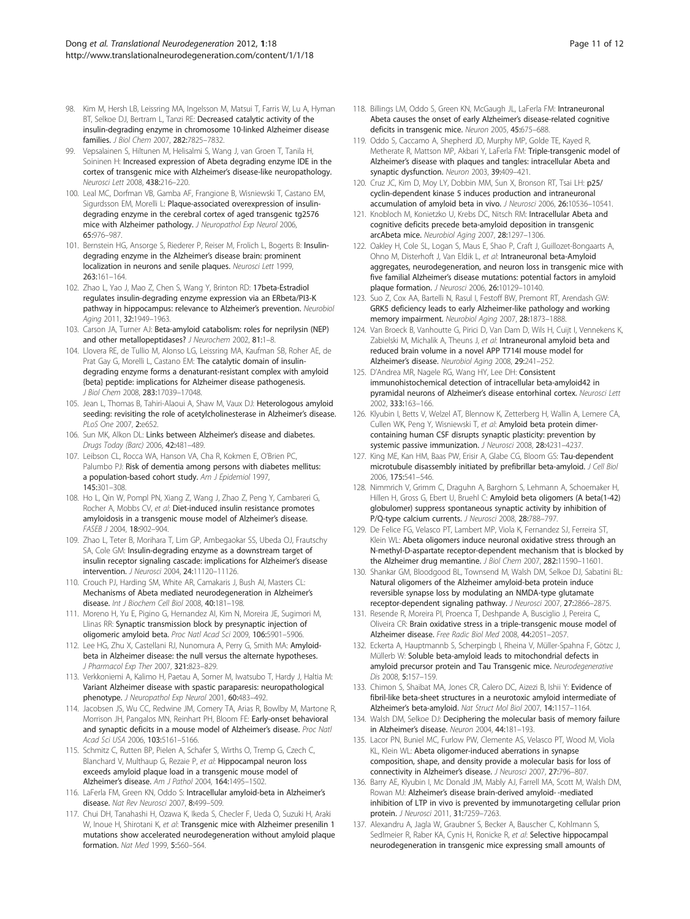- <span id="page-10-0"></span>98. Kim M, Hersh LB, Leissring MA, Ingelsson M, Matsui T, Farris W, Lu A, Hyman BT, Selkoe DJ, Bertram L, Tanzi RE: Decreased catalytic activity of the insulin-degrading enzyme in chromosome 10-linked Alzheimer disease families. J Biol Chem 2007, 282:7825–7832.
- 99. Vepsalainen S, Hiltunen M, Helisalmi S, Wang J, van Groen T, Tanila H, Soininen H: Increased expression of Abeta degrading enzyme IDE in the cortex of transgenic mice with Alzheimer's disease-like neuropathology. Neurosci Lett 2008, 438:216–220.
- 100. Leal MC, Dorfman VB, Gamba AF, Frangione B, Wisniewski T, Castano EM, Sigurdsson EM, Morelli L: Plaque-associated overexpression of insulindegrading enzyme in the cerebral cortex of aged transgenic tg2576 mice with Alzheimer pathology. J Neuropathol Exp Neurol 2006, 65:976–987.
- 101. Bernstein HG, Ansorge S, Riederer P, Reiser M, Frolich L, Bogerts B: Insulindegrading enzyme in the Alzheimer's disease brain: prominent localization in neurons and senile plaques. Neurosci Lett 1999, 263:161–164.
- 102. Zhao L, Yao J, Mao Z, Chen S, Wang Y, Brinton RD: 17beta-Estradiol regulates insulin-degrading enzyme expression via an ERbeta/PI3-K pathway in hippocampus: relevance to Alzheimer's prevention. Neurobiol Aging 2011, 32:1949–1963.
- 103. Carson JA, Turner AJ: Beta-amyloid catabolism: roles for neprilysin (NEP) and other metallopeptidases? J Neurochem 2002, 81:1-8.
- 104. Llovera RE, de Tullio M, Alonso LG, Leissring MA, Kaufman SB, Roher AE, de Prat Gay G, Morelli L, Castano EM: The catalytic domain of insulindegrading enzyme forms a denaturant-resistant complex with amyloid {beta} peptide: implications for Alzheimer disease pathogenesis. J Biol Chem 2008, 283:17039–17048.
- 105. Jean L, Thomas B, Tahiri-Alaoui A, Shaw M, Vaux DJ: Heterologous amyloid seeding: revisiting the role of acetylcholinesterase in Alzheimer's disease. PLoS One 2007, 2:e652.
- 106. Sun MK, Alkon DL: Links between Alzheimer's disease and diabetes. Drugs Today (Barc) 2006, 42:481–489.
- 107. Leibson CL, Rocca WA, Hanson VA, Cha R, Kokmen E, O'Brien PC, Palumbo PJ: Risk of dementia among persons with diabetes mellitus: a population-based cohort study. Am J Epidemiol 1997, 145:301–308.
- 108. Ho L, Qin W, Pompl PN, Xiang Z, Wang J, Zhao Z, Peng Y, Cambareri G, Rocher A, Mobbs CV, et al: Diet-induced insulin resistance promotes amyloidosis in a transgenic mouse model of Alzheimer's disease. FASEB J 2004, 18:902–904.
- 109. Zhao L, Teter B, Morihara T, Lim GP, Ambegaokar SS, Ubeda OJ, Frautschy SA, Cole GM: Insulin-degrading enzyme as a downstream target of insulin receptor signaling cascade: implications for Alzheimer's disease intervention. J Neurosci 2004, 24:11120–11126.
- 110. Crouch PJ, Harding SM, White AR, Camakaris J, Bush AI, Masters CL: Mechanisms of Abeta mediated neurodegeneration in Alzheimer's disease. Int J Biochem Cell Biol 2008, 40:181–198.
- 111. Moreno H, Yu E, Pigino G, Hernandez AI, Kim N, Moreira JE, Sugimori M, Llinas RR: Synaptic transmission block by presynaptic injection of oligomeric amyloid beta. Proc Natl Acad Sci 2009, 106:5901–5906.
- 112. Lee HG, Zhu X, Castellani RJ, Nunomura A, Perry G, Smith MA: Amyloidbeta in Alzheimer disease: the null versus the alternate hypotheses. J Pharmacol Exp Ther 2007, 321:823–829.
- 113. Verkkoniemi A, Kalimo H, Paetau A, Somer M, Iwatsubo T, Hardy J, Haltia M: Variant Alzheimer disease with spastic paraparesis: neuropathological phenotype. J Neuropathol Exp Neurol 2001, 60:483-492.
- 114. Jacobsen JS, Wu CC, Redwine JM, Comery TA, Arias R, Bowlby M, Martone R, Morrison JH, Pangalos MN, Reinhart PH, Bloom FE: Early-onset behavioral and synaptic deficits in a mouse model of Alzheimer's disease. Proc Natl Acad Sci USA 2006, 103:5161–5166.
- 115. Schmitz C, Rutten BP, Pielen A, Schafer S, Wirths O, Tremp G, Czech C, Blanchard V, Multhaup G, Rezaie P, et al: Hippocampal neuron loss exceeds amyloid plaque load in a transgenic mouse model of Alzheimer's disease. Am J Pathol 2004, 164:1495–1502.
- 116. LaFerla FM, Green KN, Oddo S: Intracellular amyloid-beta in Alzheimer's disease. Nat Rev Neurosci 2007, 8:499-509.
- 117. Chui DH, Tanahashi H, Ozawa K, Ikeda S, Checler F, Ueda O, Suzuki H, Araki W, Inoue H, Shirotani K, et al: Transgenic mice with Alzheimer presenilin 1 mutations show accelerated neurodegeneration without amyloid plaque formation. Nat Med 1999, 5:560–564.
- 118. Billings LM, Oddo S, Green KN, McGaugh JL, LaFerla FM: Intraneuronal Abeta causes the onset of early Alzheimer's disease-related cognitive deficits in transgenic mice. Neuron 2005, 45:675–688.
- 119. Oddo S, Caccamo A, Shepherd JD, Murphy MP, Golde TE, Kayed R, Metherate R, Mattson MP, Akbari Y, LaFerla FM: Triple-transgenic model of Alzheimer's disease with plaques and tangles: intracellular Abeta and synaptic dysfunction. Neuron 2003, 39:409–421.
- 120. Cruz JC, Kim D, Moy LY, Dobbin MM, Sun X, Bronson RT, Tsai LH: p25/ cyclin-dependent kinase 5 induces production and intraneuronal accumulation of amyloid beta in vivo. J Neurosci 2006, 26:10536–10541.
- 121. Knobloch M, Konietzko U, Krebs DC, Nitsch RM: Intracellular Abeta and cognitive deficits precede beta-amyloid deposition in transgenic arcAbeta mice. Neurobiol Aging 2007, 28:1297–1306.
- 122. Oakley H, Cole SL, Logan S, Maus E, Shao P, Craft J, Guillozet-Bongaarts A, Ohno M, Disterhoft J, Van Eldik L, et al: Intraneuronal beta-Amyloid aggregates, neurodegeneration, and neuron loss in transgenic mice with five familial Alzheimer's disease mutations: potential factors in amyloid plaque formation. J Neurosci 2006, 26:10129-10140.
- 123. Suo Z, Cox AA, Bartelli N, Rasul I, Festoff BW, Premont RT, Arendash GW: GRK5 deficiency leads to early Alzheimer-like pathology and working memory impairment. Neurobiol Aging 2007, 28:1873–1888.
- 124. Van Broeck B, Vanhoutte G, Pirici D, Van Dam D, Wils H, Cuijt I, Vennekens K, Zabielski M, Michalik A, Theuns J, et al: Intraneuronal amyloid beta and reduced brain volume in a novel APP T714I mouse model for Alzheimer's disease. Neurobiol Aging 2008, 29:241–252.
- 125. D'Andrea MR, Nagele RG, Wang HY, Lee DH: Consistent immunohistochemical detection of intracellular beta-amyloid42 in pyramidal neurons of Alzheimer's disease entorhinal cortex. Neurosci Lett 2002, 333:163–166.
- 126. Klyubin I, Betts V, Welzel AT, Blennow K, Zetterberg H, Wallin A, Lemere CA, Cullen WK, Peng Y, Wisniewski T, et al: Amyloid beta protein dimercontaining human CSF disrupts synaptic plasticity: prevention by systemic passive immunization. J Neurosci 2008, 28:4231-4237.
- 127. King ME, Kan HM, Baas PW, Erisir A, Glabe CG, Bloom GS: Tau-dependent microtubule disassembly initiated by prefibrillar beta-amyloid. J Cell Biol 2006, 175:541–546.
- 128. Nimmrich V, Grimm C, Draguhn A, Barghorn S, Lehmann A, Schoemaker H, Hillen H, Gross G, Ebert U, Bruehl C: Amyloid beta oligomers (A beta(1-42) globulomer) suppress spontaneous synaptic activity by inhibition of P/Q-type calcium currents. J Neurosci 2008, 28:788-797.
- 129. De Felice FG, Velasco PT, Lambert MP, Viola K, Fernandez SJ, Ferreira ST, Klein WL: Abeta oligomers induce neuronal oxidative stress through an N-methyl-D-aspartate receptor-dependent mechanism that is blocked by the Alzheimer drug memantine. J Biol Chem 2007, 282:11590-11601.
- 130. Shankar GM, Bloodgood BL, Townsend M, Walsh DM, Selkoe DJ, Sabatini BL: Natural oligomers of the Alzheimer amyloid-beta protein induce reversible synapse loss by modulating an NMDA-type glutamate receptor-dependent signaling pathway. J Neurosci 2007, 27:2866–2875.
- 131. Resende R, Moreira PI, Proenca T, Deshpande A, Busciglio J, Pereira C, Oliveira CR: Brain oxidative stress in a triple-transgenic mouse model of Alzheimer disease. Free Radic Biol Med 2008, 44:2051–2057.
- 132. Eckerta A, Hauptmannb S, Scherpingb I, Rheina V, Müller-Spahna F, Götzc J, Müllerb W: Soluble beta-amyloid leads to mitochondrial defects in amyloid precursor protein and Tau Transgenic mice. Neurodegenerative Dis 2008, 5:157–159.
- 133. Chimon S, Shaibat MA, Jones CR, Calero DC, Aizezi B, Ishii Y: Evidence of fibril-like beta-sheet structures in a neurotoxic amyloid intermediate of Alzheimer's beta-amyloid. Nat Struct Mol Biol 2007, 14:1157–1164.
- 134. Walsh DM, Selkoe DJ: Deciphering the molecular basis of memory failure in Alzheimer's disease. Neuron 2004, 44:181–193.
- 135. Lacor PN, Buniel MC, Furlow PW, Clemente AS, Velasco PT, Wood M, Viola KL, Klein WL: Abeta oligomer-induced aberrations in synapse composition, shape, and density provide a molecular basis for loss of connectivity in Alzheimer's disease. J Neurosci 2007, 27:796–807.
- 136. Barry AE, Klyubin I, Mc Donald JM, Mably AJ, Farrell MA, Scott M, Walsh DM, Rowan MJ: Alzheimer's disease brain-derived amyloid- -mediated inhibition of LTP in vivo is prevented by immunotargeting cellular prion protein. J Neurosci 2011, 31:7259–7263.
- 137. Alexandru A, Jagla W, Graubner S, Becker A, Bauscher C, Kohlmann S, Sedlmeier R, Raber KA, Cynis H, Ronicke R, et al: Selective hippocampal neurodegeneration in transgenic mice expressing small amounts of